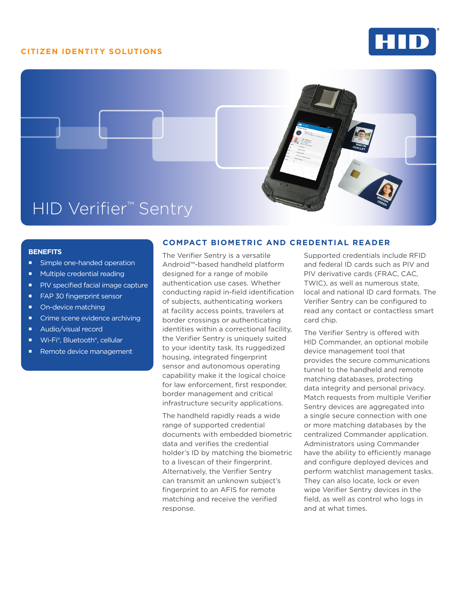## **CITIZEN IDENTITY SOLUTIONS**





#### **BENEFITS**

- **Simple one-handed operation**
- **Multiple credential reading**
- **PIV** specified facial image capture
- **FAP 30 fingerprint sensor**
- On-device matching
- **Crime scene evidence archiving**
- Audio/visual record
- Wi-Fi®, Bluetooth®, cellular
- Remote device management

### **COMPACT BIOMETRIC AND CREDENTIAL READER**

The Verifier Sentry is a versatile Android™-based handheld platform designed for a range of mobile authentication use cases. Whether conducting rapid in-field identification of subjects, authenticating workers at facility access points, travelers at border crossings or authenticating identities within a correctional facility, the Verifier Sentry is uniquely suited to your identity task. Its ruggedized housing, integrated fingerprint sensor and autonomous operating capability make it the logical choice for law enforcement, first responder, border management and critical infrastructure security applications.

The handheld rapidly reads a wide range of supported credential documents with embedded biometric data and verifies the credential holder's ID by matching the biometric to a livescan of their fingerprint. Alternatively, the Verifier Sentry can transmit an unknown subject's fingerprint to an AFIS for remote matching and receive the verified response.

Supported credentials include RFID and federal ID cards such as PIV and PIV derivative cards (FRAC, CAC, TWIC), as well as numerous state, local and national ID card formats. The Verifier Sentry can be configured to read any contact or contactless smart card chip.

The Verifier Sentry is offered with HID Commander, an optional mobile device management tool that provides the secure communications tunnel to the handheld and remote matching databases, protecting data integrity and personal privacy. Match requests from multiple Verifier Sentry devices are aggregated into a single secure connection with one or more matching databases by the centralized Commander application. Administrators using Commander have the ability to efficiently manage and configure deployed devices and perform watchlist management tasks. They can also locate, lock or even wipe Verifier Sentry devices in the field, as well as control who logs in and at what times.